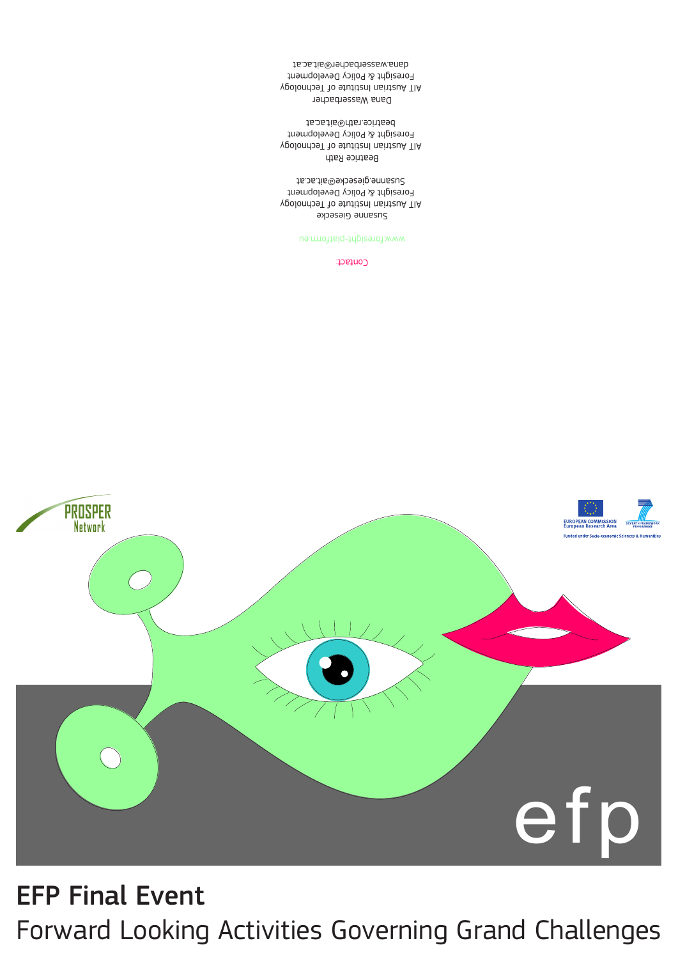# EFP Final Event Forward Looking Activities Governing Grand Challenges



#### Contact:

#### www.foresight-platform.eu

## Susanne Giesecke

 AIT Austrian Institute of Technology Foresight & Policy Development Susanne.giesecke@ait.ac.at

Beatrice Rath AIT Austrian Institute of Technology Foresight & Policy Development beatrice.rath@ait.ac.at

Dana Wasserbacher AIT Austrian Institute of Technology Foresight & Policy Development dana.wasserbacher@ait.ac.at